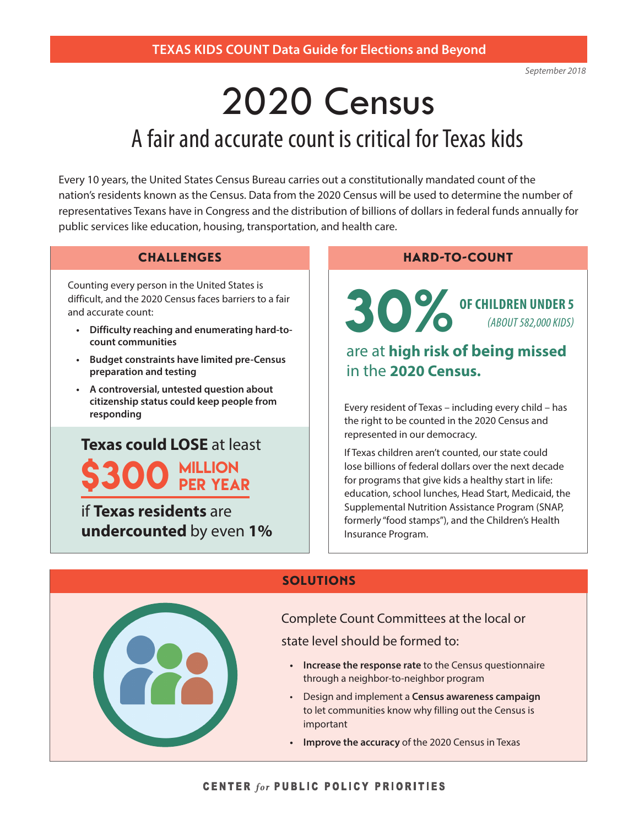# A fair and accurate count is critical for Texas kids 2020 Census

Every 10 years, the United States Census Bureau carries out a constitutionally mandated count of the nation's residents known as the Census. Data from the 2020 Census will be used to determine the number of representatives Texans have in Congress and the distribution of billions of dollars in federal funds annually for public services like education, housing, transportation, and health care.

### **CHALLENGES**

Counting every person in the United States is difficult, and the 2020 Census faces barriers to a fair and accurate count:

- **• Difficulty reaching and enumerating hard-tocount communities**
- **• Budget constraints have limited pre-Census preparation and testing**
- **• A controversial, untested question about citizenship status could keep people from**

## **Texas could LOSE** at least \$300 million per year

if **Texas residents** are **undercounted** by even **1%**

#### HARD-TO-COUNT

30% **OF CHILDREN UNDER 5** *(ABOUT 582,000 KIDS)*

## are at **high risk of being missed** in the **2020 Census.**

**responding** Every resident of Texas – including every child – has responding the right to be counted in the 2020 Census and represented in our democracy.

> If Texas children aren't counted, our state could lose billions of federal dollars over the next decade for programs that give kids a healthy start in life: education, school lunches, Head Start, Medicaid, the Supplemental Nutrition Assistance Program (SNAP, formerly "food stamps"), and the Children's Health Insurance Program.

| <b>SOLUTIONS</b>                                                                                                                                                                                                                                                                                                                                                                                       |
|--------------------------------------------------------------------------------------------------------------------------------------------------------------------------------------------------------------------------------------------------------------------------------------------------------------------------------------------------------------------------------------------------------|
| Complete Count Committees at the local or<br>state level should be formed to:<br>Increase the response rate to the Census questionnaire<br>$\bullet$<br>through a neighbor-to-neighbor program<br>Design and implement a Census awareness campaign<br>$\bullet$<br>to let communities know why filling out the Census is<br>important<br>Improve the accuracy of the 2020 Census in Texas<br>$\bullet$ |